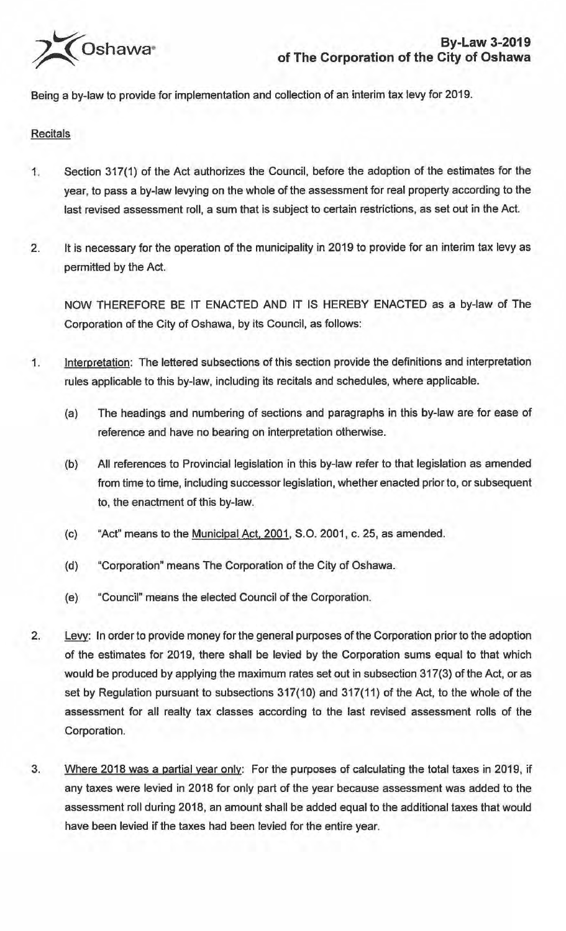

Being a by-law to provide for implementation and collection of an interim tax levy for 2019.

## **Recitals**

- 1. Section 317(1) of the Act authorizes the Council, before the adoption of the estimates for the year, to pass a by-law levying on the whole of the assessment for real property according to the last revised assessment roll, a sum that is subject to certain restrictions, as set out in the Act.
- 2. It is necessary for the operation of the municipality in 2019 to provide for an interim tax levy as permitted by the Act.

NOW THEREFORE BE IT ENACTED AND IT IS HEREBY ENACTED as a by-law of The Corporation of the City of Oshawa, by its Council, as follows:

- 1. Interpretation: The lettered subsections of this section provide the definitions and interpretation rules applicable to this by-law, including its recitals and schedules, where applicable.
	- (a) The headings and numbering of sections and paragraphs in this by-law are for ease of reference and have no bearing on interpretation otherwise.
	- (b) All references to Provincial legislation in this by-law refer to that legislation as amended from time to time, including successor legislation, whether enacted prior to, or subsequent to, the enactment of this by-law.
	- (c) "Act" means to the Municipal Act, 2001, S.O. 2001, c. 25, as amended.
	- (d) "Corporation" means The Corporation of the City of Oshawa.
	- (e) "Council" means the elected Council of the Corporation.
- 2. Levy: In order to provide money for the general purposes of the Corporation prior to the adoption of the estimates for 2019, there shall be levied by the Corporation sums equal to that which would be produced by applying the maximum rates set out in subsection 317(3) of the Act, or as set by Regulation pursuant to subsections 317(10) and 317(11) of the Act, to the whole of the assessment for all realty tax classes according to the last revised assessment rolls of the Corporation.
- 3. Where 2018 was a partial year only: For the purposes of calculating the total taxes in 2019, if any taxes were levied in 2018 for only part of the year because assessment was added to the assessment roll during 2018, an amount shall be added equal to the additional taxes that would have been levied if the taxes had been levied for the entire year.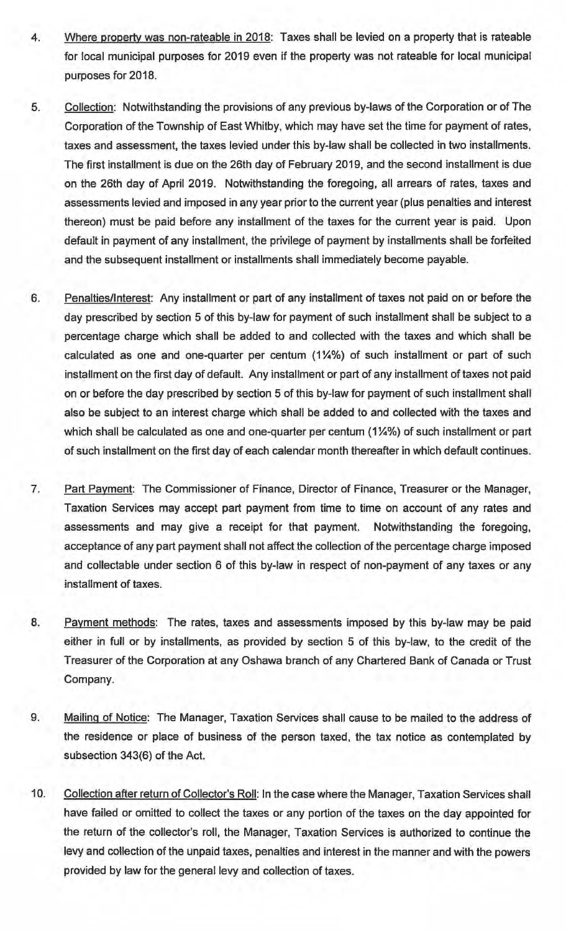- 4. Where property was non-rateable in 2018: Taxes shall be levied on a property that is rateable for local municipal purposes for 2019 even if the property was not rateable for local municipal purposes for 2018.
- 5. Collection: Notwithstanding the provisions of any previous by-laws of the Corporation or of The Corporation of the Township of East Whitby, which may have set the time for payment of rates, taxes and assessment, the taxes levied under this by-law shall be collected in two installments. The first installment is due on the 26th day of February 2019, and the second installment is due on the 26th day of April 2019. Notwithstanding the foregoing, all arrears of rates, taxes and assessments levied and imposed in any year prior to the current year (plus penalties and interest thereon) must be paid before any installment of the taxes for the current year is paid. Upon default in payment of any installment, the privilege of payment by installments shall be forfeited and the subsequent installment or installments shall immediately become payable.
- 6. Penalties/Interest: Any installment or part of any installment of taxes not paid on or before the day prescribed by section 5 of this by-law for payment of such installment shall be subject to a percentage charge which shall be added to and collected with the taxes and which shall be calculated as one and one-quarter per centum  $(1\frac{1}{4}\%)$  of such installment or part of such installment on the first day of default. Any installment or part of any installment of taxes not paid on or before the day prescribed by section 5 of this by-law for payment of such installment shall also be subject to an interest charge which shall be added to and collected with the taxes and which shall be calculated as one and one-quarter per centum (1¼%) of such installment or part of such installment on the first day of each calendar month thereafter in which default continues.
- 7. Part Payment: The Commissioner of Finance, Director of Finance, Treasurer or the Manager, Taxation Services may accept part payment from time to time on account of any rates and assessments and may give a receipt for that payment. Notwithstanding the foregoing, acceptance of any part payment shall not affect the collection of the percentage charge imposed and collectable under section 6 of this by-law in respect of non-payment of any taxes or any installment of taxes.
- 8. Payment methods: The rates, taxes and assessments imposed by this by-law may be paid either in full or by installments, as provided by section 5 of this by-law, to the credit of the Treasurer of the Corporation at any Oshawa branch of any Chartered Bank of Canada or Trust Company.
- 9. Mailing of Notice: The Manager, Taxation Services shall cause to be mailed to the address of the residence or place of business of the person taxed, the tax notice as contemplated by subsection 343(6) of the Act.
- 10. Collection after return of Collector's Roll: In the case where the Manager, Taxation Services shall have failed or omitted to collect the taxes or any portion of the taxes on the day appointed for the return of the collector's roll, the Manager, Taxation Services is authorized to continue the levy and collection of the unpaid taxes, penalties and interest in the manner and with the powers provided by law for the general levy and collection of taxes.